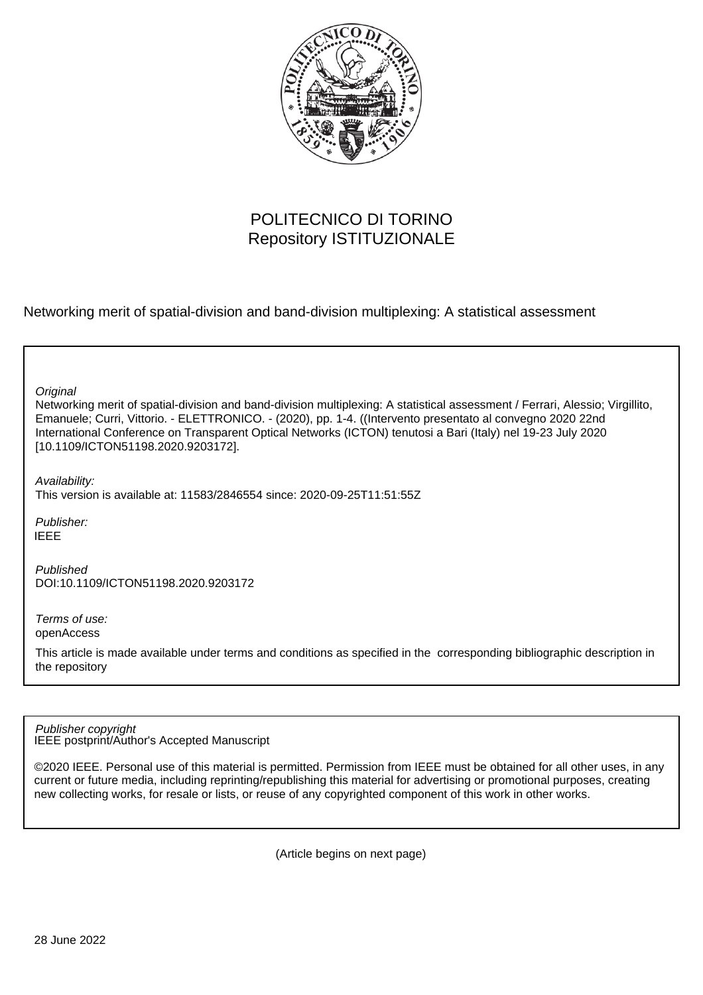

# POLITECNICO DI TORINO Repository ISTITUZIONALE

Networking merit of spatial-division and band-division multiplexing: A statistical assessment

**Original** 

Networking merit of spatial-division and band-division multiplexing: A statistical assessment / Ferrari, Alessio; Virgillito, Emanuele; Curri, Vittorio. - ELETTRONICO. - (2020), pp. 1-4. ((Intervento presentato al convegno 2020 22nd International Conference on Transparent Optical Networks (ICTON) tenutosi a Bari (Italy) nel 19-23 July 2020 [10.1109/ICTON51198.2020.9203172].

Availability:

This version is available at: 11583/2846554 since: 2020-09-25T11:51:55Z

Publisher: IEEE

Published DOI:10.1109/ICTON51198.2020.9203172

Terms of use: openAccess

This article is made available under terms and conditions as specified in the corresponding bibliographic description in the repository

IEEE postprint/Author's Accepted Manuscript Publisher copyright

©2020 IEEE. Personal use of this material is permitted. Permission from IEEE must be obtained for all other uses, in any current or future media, including reprinting/republishing this material for advertising or promotional purposes, creating new collecting works, for resale or lists, or reuse of any copyrighted component of this work in other works.

(Article begins on next page)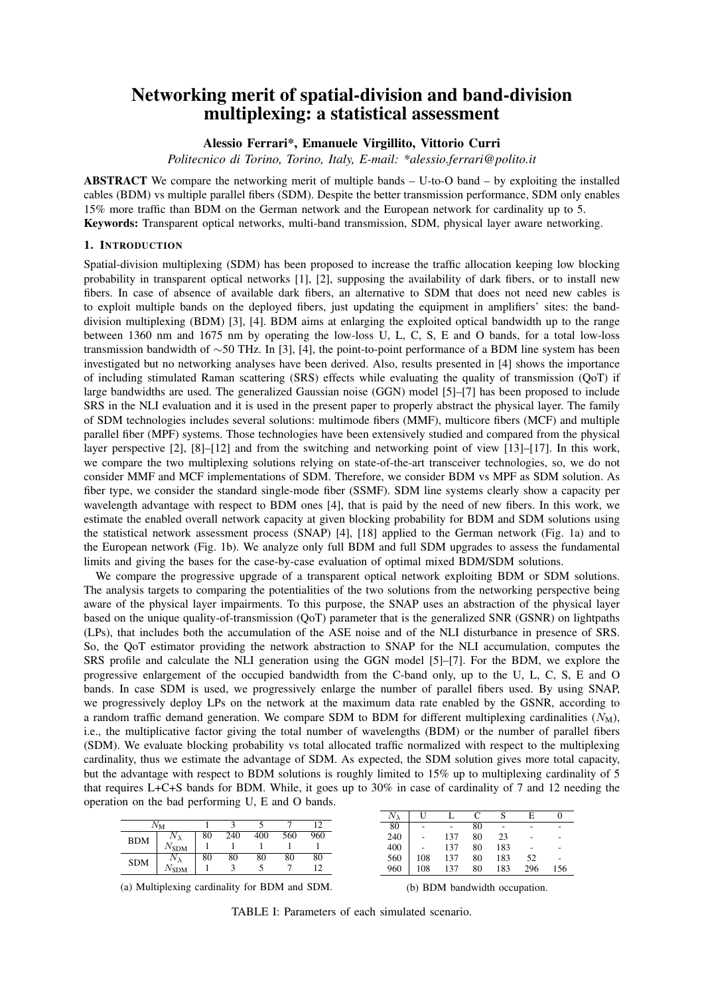## Networking merit of spatial-division and band-division multiplexing: a statistical assessment

Alessio Ferrari\*, Emanuele Virgillito, Vittorio Curri

*Politecnico di Torino, Torino, Italy, E-mail: \*alessio.ferrari@polito.it*

ABSTRACT We compare the networking merit of multiple bands – U-to-O band – by exploiting the installed cables (BDM) vs multiple parallel fibers (SDM). Despite the better transmission performance, SDM only enables 15% more traffic than BDM on the German network and the European network for cardinality up to 5. Keywords: Transparent optical networks, multi-band transmission, SDM, physical layer aware networking.

#### 1. INTRODUCTION

Spatial-division multiplexing (SDM) has been proposed to increase the traffic allocation keeping low blocking probability in transparent optical networks [1], [2], supposing the availability of dark fibers, or to install new fibers. In case of absence of available dark fibers, an alternative to SDM that does not need new cables is to exploit multiple bands on the deployed fibers, just updating the equipment in amplifiers' sites: the banddivision multiplexing (BDM) [3], [4]. BDM aims at enlarging the exploited optical bandwidth up to the range between 1360 nm and 1675 nm by operating the low-loss U, L, C, S, E and O bands, for a total low-loss transmission bandwidth of ∼50 THz. In [3], [4], the point-to-point performance of a BDM line system has been investigated but no networking analyses have been derived. Also, results presented in [4] shows the importance of including stimulated Raman scattering (SRS) effects while evaluating the quality of transmission (QoT) if large bandwidths are used. The generalized Gaussian noise (GGN) model [5]–[7] has been proposed to include SRS in the NLI evaluation and it is used in the present paper to properly abstract the physical layer. The family of SDM technologies includes several solutions: multimode fibers (MMF), multicore fibers (MCF) and multiple parallel fiber (MPF) systems. Those technologies have been extensively studied and compared from the physical layer perspective [2], [8]–[12] and from the switching and networking point of view [13]–[17]. In this work, we compare the two multiplexing solutions relying on state-of-the-art transceiver technologies, so, we do not consider MMF and MCF implementations of SDM. Therefore, we consider BDM vs MPF as SDM solution. As fiber type, we consider the standard single-mode fiber (SSMF). SDM line systems clearly show a capacity per wavelength advantage with respect to BDM ones [4], that is paid by the need of new fibers. In this work, we estimate the enabled overall network capacity at given blocking probability for BDM and SDM solutions using the statistical network assessment process (SNAP) [4], [18] applied to the German network (Fig. 1a) and to the European network (Fig. 1b). We analyze only full BDM and full SDM upgrades to assess the fundamental limits and giving the bases for the case-by-case evaluation of optimal mixed BDM/SDM solutions.

We compare the progressive upgrade of a transparent optical network exploiting BDM or SDM solutions. The analysis targets to comparing the potentialities of the two solutions from the networking perspective being aware of the physical layer impairments. To this purpose, the SNAP uses an abstraction of the physical layer based on the unique quality-of-transmission (QoT) parameter that is the generalized SNR (GSNR) on lightpaths (LPs), that includes both the accumulation of the ASE noise and of the NLI disturbance in presence of SRS. So, the QoT estimator providing the network abstraction to SNAP for the NLI accumulation, computes the SRS profile and calculate the NLI generation using the GGN model [5]–[7]. For the BDM, we explore the progressive enlargement of the occupied bandwidth from the C-band only, up to the U, L, C, S, E and O bands. In case SDM is used, we progressively enlarge the number of parallel fibers used. By using SNAP, we progressively deploy LPs on the network at the maximum data rate enabled by the GSNR, according to a random traffic demand generation. We compare SDM to BDM for different multiplexing cardinalities  $(N_M)$ , i.e., the multiplicative factor giving the total number of wavelengths (BDM) or the number of parallel fibers (SDM). We evaluate blocking probability vs total allocated traffic normalized with respect to the multiplexing cardinality, thus we estimate the advantage of SDM. As expected, the SDM solution gives more total capacity, but the advantage with respect to BDM solutions is roughly limited to 15% up to multiplexing cardinality of 5 that requires L+C+S bands for BDM. While, it goes up to 30% in case of cardinality of 7 and 12 needing the operation on the bad performing U, E and O bands.

| $N_{\rm M}$ |               |    |     |     |     | 1 າ |
|-------------|---------------|----|-----|-----|-----|-----|
| <b>BDM</b>  |               | 80 | 240 | 400 | 560 | 960 |
|             | $N_{\rm SDM}$ |    |     |     |     |     |
| <b>SDM</b>  |               | 80 | 80  | 80  | 80  | 80  |
|             | $N_{\rm SDM}$ |    |     |     |     | 12  |

| $N_\lambda$ | U   |     | C  |     | E   |     |
|-------------|-----|-----|----|-----|-----|-----|
| 80          |     |     | 80 |     |     |     |
| 240         |     | 137 | 80 | 23  |     | -   |
| 400         |     | 137 | 80 | 183 |     | -   |
| 560         | 108 | 137 | 80 | 183 | 52  |     |
| 960         | 108 | 137 | 80 | 183 | 296 | 156 |

(a) Multiplexing cardinality for BDM and SDM.

(b) BDM bandwidth occupation.

TABLE I: Parameters of each simulated scenario.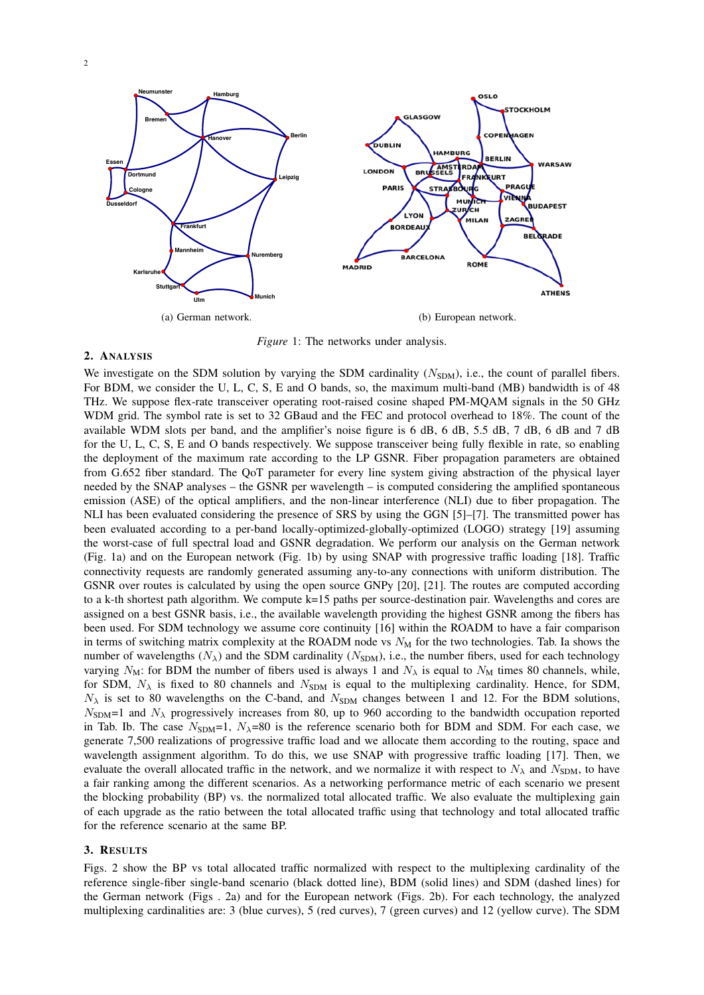



**OSLO** 

COPEN

**TOCKHOLM** 

**AGEN** 

**Inkfurt** 

**Ulm**

**Mannheim**

*Figure* 1: The networks under analysis.

### 2. ANALYSIS

**Karlsruhe**

**Stuttgart**

We investigate on the SDM solution by varying the SDM cardinality  $(N_{SDM})$ , i.e., the count of parallel fibers. For BDM, we consider the U, L, C, S, E and O bands, so, the maximum multi-band (MB) bandwidth is of 48 THz. We suppose flex-rate transceiver operating root-raised cosine shaped PM-MQAM signals in the 50 GHz WDM grid. The symbol rate is set to 32 GBaud and the FEC and protocol overhead to 18%. The count of the available WDM slots per band, and the amplifier's noise figure is 6 dB, 6 dB, 5.5 dB, 7 dB, 6 dB and 7 dB for the U, L, C, S, E and O bands respectively. We suppose transceiver being fully flexible in rate, so enabling the deployment of the maximum rate according to the LP GSNR. Fiber propagation parameters are obtained from G.652 fiber standard. The QoT parameter for every line system giving abstraction of the physical layer needed by the SNAP analyses – the GSNR per wavelength – is computed considering the amplified spontaneous emission (ASE) of the optical amplifiers, and the non-linear interference (NLI) due to fiber propagation. The NLI has been evaluated considering the presence of SRS by using the GGN [5]–[7]. The transmitted power has been evaluated according to a per-band locally-optimized-globally-optimized (LOGO) strategy [19] assuming the worst-case of full spectral load and GSNR degradation. We perform our analysis on the German network (Fig. 1a) and on the European network (Fig. 1b) by using SNAP with progressive traffic loading [18]. Traffic connectivity requests are randomly generated assuming any-to-any connections with uniform distribution. The GSNR over routes is calculated by using the open source GNPy [20], [21]. The routes are computed according to a k-th shortest path algorithm. We compute k=15 paths per source-destination pair. Wavelengths and cores are assigned on a best GSNR basis, i.e., the available wavelength providing the highest GSNR among the fibers has been used. For SDM technology we assume core continuity [16] within the ROADM to have a fair comparison in terms of switching matrix complexity at the ROADM node vs  $N<sub>M</sub>$  for the two technologies. Tab. Ia shows the number of wavelengths  $(N_{\lambda})$  and the SDM cardinality  $(N_{SDM})$ , i.e., the number fibers, used for each technology varying  $N_M$ : for BDM the number of fibers used is always 1 and  $N_\lambda$  is equal to  $N_M$  times 80 channels, while, for SDM,  $N_{\lambda}$  is fixed to 80 channels and  $N_{SDM}$  is equal to the multiplexing cardinality. Hence, for SDM,  $N_{\lambda}$  is set to 80 wavelengths on the C-band, and  $N_{SDM}$  changes between 1 and 12. For the BDM solutions,  $N_{SDM}=1$  and  $N_{\lambda}$  progressively increases from 80, up to 960 according to the bandwidth occupation reported in Tab. Ib. The case  $N_{\text{SDM}}=1$ ,  $N_{\lambda}=80$  is the reference scenario both for BDM and SDM. For each case, we generate 7,500 realizations of progressive traffic load and we allocate them according to the routing, space and wavelength assignment algorithm. To do this, we use SNAP with progressive traffic loading [17]. Then, we evaluate the overall allocated traffic in the network, and we normalize it with respect to  $N_{\lambda}$  and  $N_{SDM}$ , to have a fair ranking among the different scenarios. As a networking performance metric of each scenario we present the blocking probability (BP) vs. the normalized total allocated traffic. We also evaluate the multiplexing gain of each upgrade as the ratio between the total allocated traffic using that technology and total allocated traffic for the reference scenario at the same BP.

#### 3. RESULTS

Figs. 2 show the BP vs total allocated traffic normalized with respect to the multiplexing cardinality of the reference single-fiber single-band scenario (black dotted line), BDM (solid lines) and SDM (dashed lines) for the German network (Figs . 2a) and for the European network (Figs. 2b). For each technology, the analyzed multiplexing cardinalities are: 3 (blue curves), 5 (red curves), 7 (green curves) and 12 (yellow curve). The SDM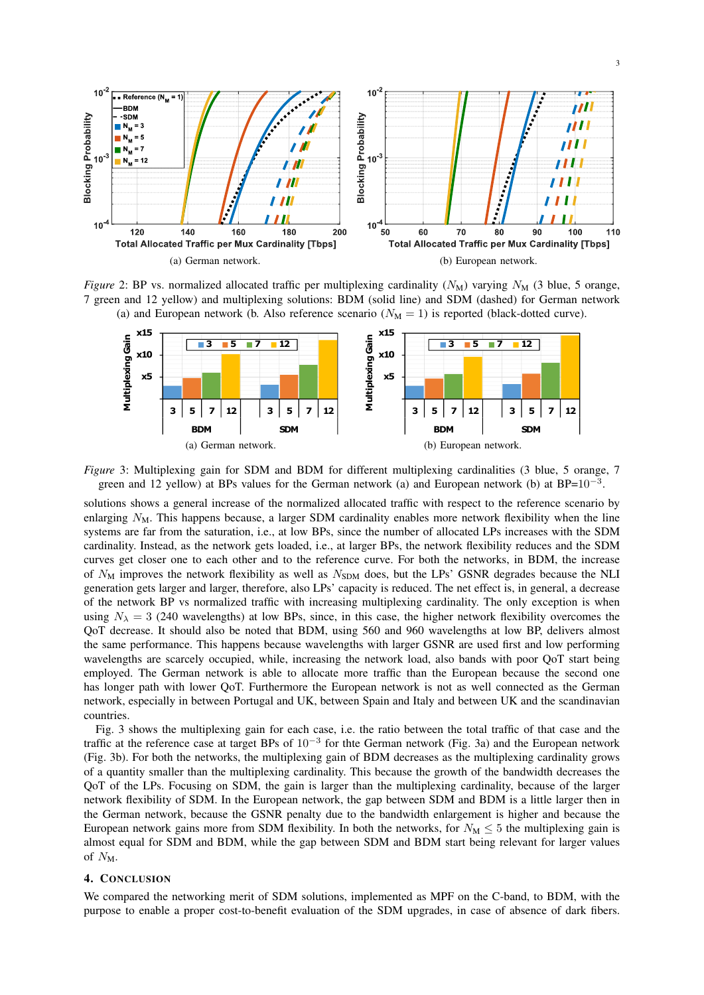

*Figure* 2: BP vs. normalized allocated traffic per multiplexing cardinality  $(N_M)$  varying  $N_M$  (3 blue, 5 orange, 7 green and 12 yellow) and multiplexing solutions: BDM (solid line) and SDM (dashed) for German network (a) and European network (b. Also reference scenario  $(N_M = 1)$  is reported (black-dotted curve).



*Figure* 3: Multiplexing gain for SDM and BDM for different multiplexing cardinalities (3 blue, 5 orange, 7 green and 12 yellow) at BPs values for the German network (a) and European network (b) at  $BP=10^{-3}$ .

solutions shows a general increase of the normalized allocated traffic with respect to the reference scenario by enlarging  $N<sub>M</sub>$ . This happens because, a larger SDM cardinality enables more network flexibility when the line systems are far from the saturation, i.e., at low BPs, since the number of allocated LPs increases with the SDM cardinality. Instead, as the network gets loaded, i.e., at larger BPs, the network flexibility reduces and the SDM curves get closer one to each other and to the reference curve. For both the networks, in BDM, the increase of  $N_M$  improves the network flexibility as well as  $N_{SDM}$  does, but the LPs' GSNR degrades because the NLI generation gets larger and larger, therefore, also LPs' capacity is reduced. The net effect is, in general, a decrease of the network BP vs normalized traffic with increasing multiplexing cardinality. The only exception is when using  $N<sub>\lambda</sub> = 3$  (240 wavelengths) at low BPs, since, in this case, the higher network flexibility overcomes the QoT decrease. It should also be noted that BDM, using 560 and 960 wavelengths at low BP, delivers almost the same performance. This happens because wavelengths with larger GSNR are used first and low performing wavelengths are scarcely occupied, while, increasing the network load, also bands with poor QoT start being employed. The German network is able to allocate more traffic than the European because the second one has longer path with lower QoT. Furthermore the European network is not as well connected as the German network, especially in between Portugal and UK, between Spain and Italy and between UK and the scandinavian countries.

Fig. 3 shows the multiplexing gain for each case, i.e. the ratio between the total traffic of that case and the traffic at the reference case at target BPs of  $10^{-3}$  for thte German network (Fig. 3a) and the European network (Fig. 3b). For both the networks, the multiplexing gain of BDM decreases as the multiplexing cardinality grows of a quantity smaller than the multiplexing cardinality. This because the growth of the bandwidth decreases the QoT of the LPs. Focusing on SDM, the gain is larger than the multiplexing cardinality, because of the larger network flexibility of SDM. In the European network, the gap between SDM and BDM is a little larger then in the German network, because the GSNR penalty due to the bandwidth enlargement is higher and because the European network gains more from SDM flexibility. In both the networks, for  $N_M \leq 5$  the multiplexing gain is almost equal for SDM and BDM, while the gap between SDM and BDM start being relevant for larger values of  $N_M$ .

#### 4. CONCLUSION

We compared the networking merit of SDM solutions, implemented as MPF on the C-band, to BDM, with the purpose to enable a proper cost-to-benefit evaluation of the SDM upgrades, in case of absence of dark fibers.